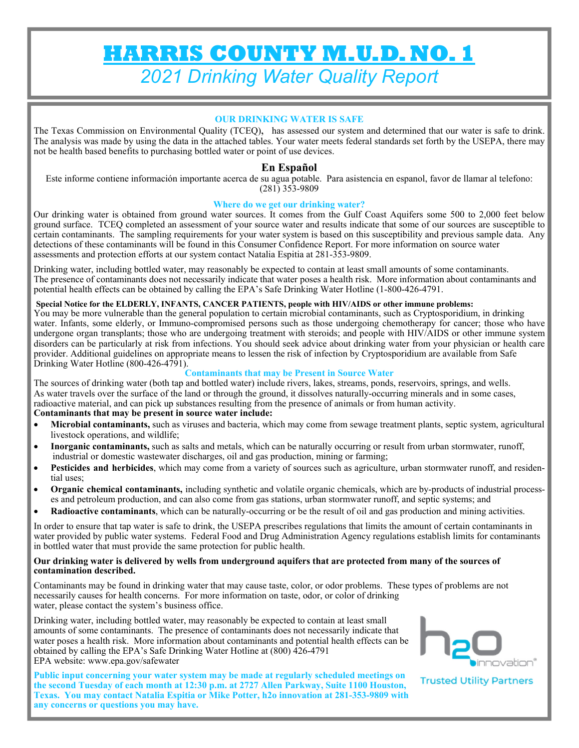**HARRIS COUNTY M.U.D. NO. 1**  *2021 Drinking Water Quality Report* 

### **OUR DRINKING WATER IS SAFE**

The Texas Commission on Environmental Quality (TCEQ), has assessed our system and determined that our water is safe to drink. The analysis was made by using the data in the attached tables. Your water meets federal standards set forth by the USEPA, there may not be health based benefits to purchasing bottled water or point of use devices.

# **En Español**

Este informe contiene información importante acerca de su agua potable. Para asistencia en espanol, favor de llamar al telefono: (281) 353-9809

#### **Where do we get our drinking water?**

Our drinking water is obtained from ground water sources. It comes from the Gulf Coast Aquifers some 500 to 2,000 feet below ground surface. TCEQ completed an assessment of your source water and results indicate that some of our sources are susceptible to certain contaminants. The sampling requirements for your water system is based on this susceptibility and previous sample data. Any detections of these contaminants will be found in this Consumer Confidence Report. For more information on source water assessments and protection efforts at our system contact Natalia Espitia at 281-353-9809.

Drinking water, including bottled water, may reasonably be expected to contain at least small amounts of some contaminants. The presence of contaminants does not necessarily indicate that water poses a health risk. More information about contaminants and potential health effects can be obtained by calling the EPA's Safe Drinking Water Hotline (1-800-426-4791.

#### **Special Notice for the ELDERLY, INFANTS, CANCER PATIENTS, people with HIV/AIDS or other immune problems:**

You may be more vulnerable than the general population to certain microbial contaminants, such as Cryptosporidium, in drinking water. Infants, some elderly, or Immuno-compromised persons such as those undergoing chemotherapy for cancer; those who have undergone organ transplants; those who are undergoing treatment with steroids; and people with HIV/AIDS or other immune system disorders can be particularly at risk from infections. You should seek advice about drinking water from your physician or health care provider. Additional guidelines on appropriate means to lessen the risk of infection by Cryptosporidium are available from Safe Drinking Water Hotline (800-426-4791).

#### **Contaminants that may be Present in Source Water**

The sources of drinking water (both tap and bottled water) include rivers, lakes, streams, ponds, reservoirs, springs, and wells. As water travels over the surface of the land or through the ground, it dissolves naturally-occurring minerals and in some cases, radioactive material, and can pick up substances resulting from the presence of animals or from human activity.

#### **Contaminants that may be present in source water include:**

- **Microbial contaminants,** such as viruses and bacteria, which may come from sewage treatment plants, septic system, agricultural livestock operations, and wildlife;
- **Inorganic contaminants,** such as salts and metals, which can be naturally occurring or result from urban stormwater, runoff, industrial or domestic wastewater discharges, oil and gas production, mining or farming;
- **Pesticides and herbicides**, which may come from a variety of sources such as agriculture, urban stormwater runoff, and residential uses;
- **Organic chemical contaminants,** including synthetic and volatile organic chemicals, which are by-products of industrial processes and petroleum production, and can also come from gas stations, urban stormwater runoff, and septic systems; and
- **Radioactive contaminants**, which can be naturally-occurring or be the result of oil and gas production and mining activities.

In order to ensure that tap water is safe to drink, the USEPA prescribes regulations that limits the amount of certain contaminants in water provided by public water systems. Federal Food and Drug Administration Agency regulations establish limits for contaminants in bottled water that must provide the same protection for public health.

#### **Our drinking water is delivered by wells from underground aquifers that are protected from many of the sources of contamination described.**

Contaminants may be found in drinking water that may cause taste, color, or odor problems. These types of problems are not necessarily causes for health concerns. For more information on taste, odor, or color of drinking water, please contact the system's business office.

Drinking water, including bottled water, may reasonably be expected to contain at least small amounts of some contaminants. The presence of contaminants does not necessarily indicate that water poses a health risk. More information about contaminants and potential health effects can be obtained by calling the EPA's Safe Drinking Water Hotline at (800) 426-4791 EPA website: www.epa.gov/safewater

**Public input concerning your water system may be made at regularly scheduled meetings on the second Tuesday of each month at 12:30 p.m. at 2727 Allen Parkway, Suite 1100 Houston, Texas. You may contact Natalia Espitia or Mike Potter, h2o innovation at 281-353-9809 with any concerns or questions you may have.** 



**Trusted Utility Partners**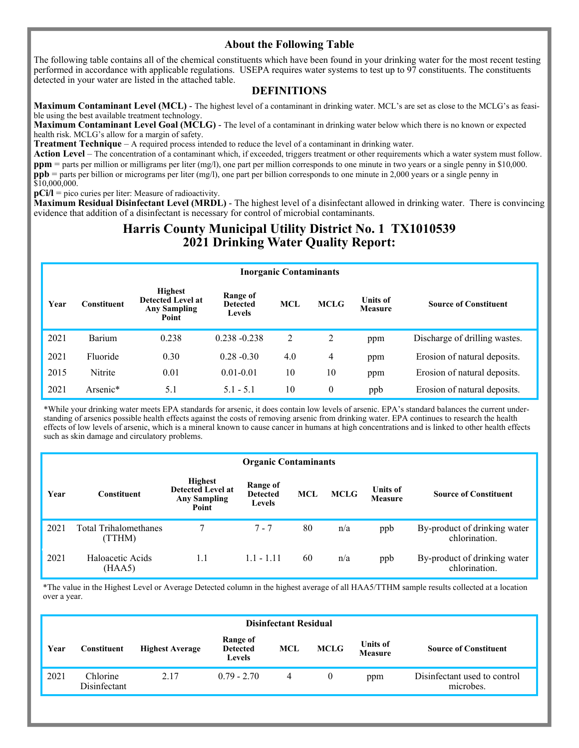# **About the Following Table**

The following table contains all of the chemical constituents which have been found in your drinking water for the most recent testing performed in accordance with applicable regulations. USEPA requires water systems to test up to 97 constituents. The constituents detected in your water are listed in the attached table.

# **DEFINITIONS**

**Maximum Contaminant Level (MCL)** - The highest level of a contaminant in drinking water. MCL's are set as close to the MCLG's as feasible using the best available treatment technology.

**Maximum Contaminant Level Goal (MCLG)** - The level of a contaminant in drinking water below which there is no known or expected health risk. MCLG's allow for a margin of safety.

**Treatment Technique** – A required process intended to reduce the level of a contaminant in drinking water.

**Action Level** – The concentration of a contaminant which, if exceeded, triggers treatment or other requirements which a water system must follow. **ppm** = parts per million or milligrams per liter (mg/l), one part per million corresponds to one minute in two years or a single penny in \$10,000. **ppb** = parts per billion or micrograms per liter (mg/l), one part per billion corresponds to one minute in 2,000 years or a single penny in  $$10,000,000.$ 

**pCi/l** = pico curies per liter: Measure of radioactivity.

**Maximum Residual Disinfectant Level (MRDL)** - The highest level of a disinfectant allowed in drinking water. There is convincing evidence that addition of a disinfectant is necessary for control of microbial contaminants.

# **Harris County Municipal Utility District No. 1 TX1010539 2021 Drinking Water Quality Report:**

| <b>Inorganic Contaminants</b> |                   |                                                                            |                                              |                                                                                                |          |     |                               |  |
|-------------------------------|-------------------|----------------------------------------------------------------------------|----------------------------------------------|------------------------------------------------------------------------------------------------|----------|-----|-------------------------------|--|
| Year                          | $\cap$ onstituent | <b>Highest</b><br><b>Detected Level at</b><br><b>Any Sampling</b><br>Point | Range of<br><b>Detected</b><br><b>Levels</b> | <b>Units of</b><br><b>MCL</b><br><b>MCLG</b><br><b>Source of Constituent</b><br><b>Measure</b> |          |     |                               |  |
| 2021                          | Barium            | 0.238                                                                      | $0.238 - 0.238$                              | 2                                                                                              | 2        | ppm | Discharge of drilling wastes. |  |
| 2021                          | Fluoride          | 0.30                                                                       | $0.28 - 0.30$                                | 4.0                                                                                            | 4        | ppm | Erosion of natural deposits.  |  |
| 2015                          | Nitrite           | 0.01                                                                       | $0.01 - 0.01$                                | 10                                                                                             | 10       | ppm | Erosion of natural deposits.  |  |
| 2021                          | Arsenic*          | 5.1                                                                        | $5.1 - 5.1$                                  | 10                                                                                             | $\theta$ | ppb | Erosion of natural deposits.  |  |

\*While your drinking water meets EPA standards for arsenic, it does contain low levels of arsenic. EPA's standard balances the current understanding of arsenics possible health effects against the costs of removing arsenic from drinking water. EPA continues to research the health effects of low levels of arsenic, which is a mineral known to cause cancer in humans at high concentrations and is linked to other health effects such as skin damage and circulatory problems.

|      | <b>Organic Contaminants</b>    |                                                                            |                                       |            |             |                                   |                                               |  |  |
|------|--------------------------------|----------------------------------------------------------------------------|---------------------------------------|------------|-------------|-----------------------------------|-----------------------------------------------|--|--|
| Year | <b>Constituent</b>             | <b>Highest</b><br><b>Detected Level at</b><br><b>Any Sampling</b><br>Point | Range of<br><b>Detected</b><br>Levels | <b>MCL</b> | <b>MCLG</b> | <b>Units of</b><br><b>Measure</b> | <b>Source of Constituent</b>                  |  |  |
| 2021 | Total Trihalomethanes<br>TTHM) |                                                                            | 7 - 7                                 | 80         | n/a         | ppb                               | By-product of drinking water<br>chlorination. |  |  |
| 2021 | Haloacetic Acids<br>(HAA5)     | 1.1                                                                        | $1.1 - 1.11$                          | 60         | n/a         | ppb                               | By-product of drinking water<br>chlorination. |  |  |

\*The value in the Highest Level or Average Detected column in the highest average of all HAA5/TTHM sample results collected at a location over a year.

| <b>Disinfectant Residual</b> |                          |                        |                                              |                |             |                                   |                                           |
|------------------------------|--------------------------|------------------------|----------------------------------------------|----------------|-------------|-----------------------------------|-------------------------------------------|
| Year                         | Constituent              | <b>Highest Average</b> | Range of<br><b>Detected</b><br><b>Levels</b> | <b>MCL</b>     | <b>MCLG</b> | <b>Units of</b><br><b>Measure</b> | <b>Source of Constituent</b>              |
| 2021                         | Chlorine<br>Disinfectant | 2.17                   | $0.79 - 2.70$                                | $\overline{4}$ | $\theta$    | ppm                               | Disinfectant used to control<br>microbes. |